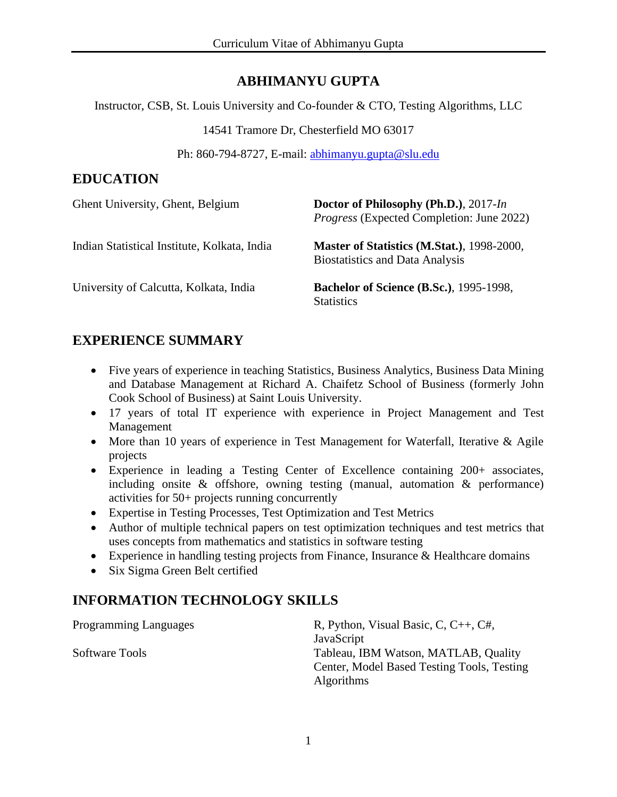## **ABHIMANYU GUPTA**

Instructor, CSB, St. Louis University and Co-founder & CTO, Testing Algorithms, LLC

14541 Tramore Dr, Chesterfield MO 63017

Ph: 860-794-8727, E-mail: [abhimanyu.gupta@slu.edu](mailto:abhimanyu.gupta@slu.edu)

## **EDUCATION**

| Ghent University, Ghent, Belgium             | Doctor of Philosophy (Ph.D.), 2017-In<br><i>Progress</i> (Expected Completion: June 2022) |
|----------------------------------------------|-------------------------------------------------------------------------------------------|
| Indian Statistical Institute, Kolkata, India | Master of Statistics (M.Stat.), 1998-2000,<br><b>Biostatistics and Data Analysis</b>      |
| University of Calcutta, Kolkata, India       | <b>Bachelor of Science (B.Sc.), 1995-1998,</b><br><b>Statistics</b>                       |

## **EXPERIENCE SUMMARY**

- Five years of experience in teaching Statistics, Business Analytics, Business Data Mining and Database Management at Richard A. Chaifetz School of Business (formerly John Cook School of Business) at Saint Louis University.
- 17 years of total IT experience with experience in Project Management and Test Management
- More than 10 years of experience in Test Management for Waterfall, Iterative & Agile projects
- Experience in leading a Testing Center of Excellence containing 200+ associates, including onsite & offshore, owning testing (manual, automation & performance) activities for 50+ projects running concurrently
- Expertise in Testing Processes, Test Optimization and Test Metrics
- Author of multiple technical papers on test optimization techniques and test metrics that uses concepts from mathematics and statistics in software testing
- Experience in handling testing projects from Finance, Insurance & Healthcare domains
- Six Sigma Green Belt certified

## **INFORMATION TECHNOLOGY SKILLS**

Programming Languages R, Python, Visual Basic, C, C++, C#, JavaScript Software Tools Tableau, IBM Watson, MATLAB, Quality Center, Model Based Testing Tools, Testing Algorithms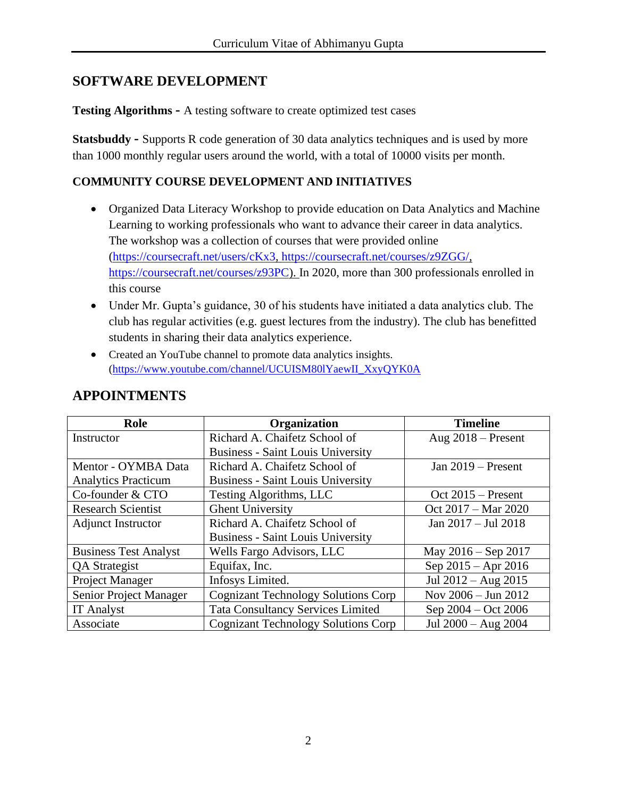## **SOFTWARE DEVELOPMENT**

**Testing Algorithms -** A testing software to create optimized test cases

**Statsbuddy -** Supports R code generation of 30 data analytics techniques and is used by more than 1000 monthly regular users around the world, with a total of 10000 visits per month.

#### **COMMUNITY COURSE DEVELOPMENT AND INITIATIVES**

- Organized Data Literacy Workshop to provide education on Data Analytics and Machine Learning to working professionals who want to advance their career in data analytics. The workshop was a collection of courses that were provided online [\(https://coursecraft.net/users/cKx3,](https://coursecraft.net/users/cKx3) [https://coursecraft.net/courses/z9ZGG/,](https://coursecraft.net/courses/z9ZGG/) [https://coursecraft.net/courses/z93PC\)](https://coursecraft.net/courses/z93PC). In 2020, more than 300 professionals enrolled in this course
- Under Mr. Gupta's guidance, 30 of his students have initiated a data analytics club. The club has regular activities (e.g. guest lectures from the industry). The club has benefitted students in sharing their data analytics experience.
- Created an YouTube channel to promote data analytics insights. [\(https://www.youtube.com/channel/UCUISM80lYaewII\\_XxyQYK0A](https://www.youtube.com/channel/UCUISM80lYaewII_XxyQYK0A)

| Role                          | Organization                               | <b>Timeline</b>         |
|-------------------------------|--------------------------------------------|-------------------------|
| Instructor                    | Richard A. Chaifetz School of              | Aug $2018$ – Present    |
|                               | <b>Business - Saint Louis University</b>   |                         |
| Mentor - OYMBA Data           | Richard A. Chaifetz School of              | Jan $2019$ – Present    |
| <b>Analytics Practicum</b>    | <b>Business - Saint Louis University</b>   |                         |
| Co-founder & CTO              | Testing Algorithms, LLC                    | Oct $2015$ – Present    |
| <b>Research Scientist</b>     | <b>Ghent University</b>                    | Oct 2017 – Mar 2020     |
| <b>Adjunct Instructor</b>     | Richard A. Chaifetz School of              | Jan 2017 - Jul 2018     |
|                               | <b>Business - Saint Louis University</b>   |                         |
| <b>Business Test Analyst</b>  | Wells Fargo Advisors, LLC                  | May $2016 -$ Sep 2017   |
| <b>QA</b> Strategist          | Equifax, Inc.                              | Sep $2015 -$ Apr $2016$ |
| Project Manager               | Infosys Limited.                           | Jul $2012 - Aug\ 2015$  |
| <b>Senior Project Manager</b> | <b>Cognizant Technology Solutions Corp</b> | Nov 2006 - Jun 2012     |
| <b>IT Analyst</b>             | <b>Tata Consultancy Services Limited</b>   | Sep 2004 – Oct 2006     |
| Associate                     | <b>Cognizant Technology Solutions Corp</b> | Jul 2000 - Aug 2004     |

### **APPOINTMENTS**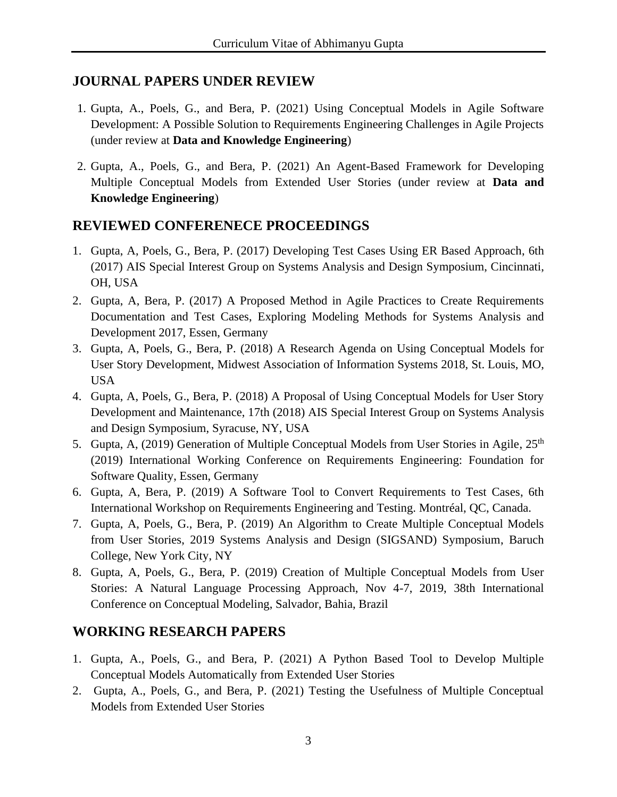#### **JOURNAL PAPERS UNDER REVIEW**

- 1. Gupta, A., Poels, G., and Bera, P. (2021) Using Conceptual Models in Agile Software Development: A Possible Solution to Requirements Engineering Challenges in Agile Projects (under review at **Data and Knowledge Engineering**)
- 2. Gupta, A., Poels, G., and Bera, P. (2021) An Agent-Based Framework for Developing Multiple Conceptual Models from Extended User Stories (under review at **Data and Knowledge Engineering**)

### **REVIEWED CONFERENECE PROCEEDINGS**

- 1. Gupta, A, Poels, G., Bera, P. (2017) Developing Test Cases Using ER Based Approach, 6th (2017) AIS Special Interest Group on Systems Analysis and Design Symposium, Cincinnati, OH, USA
- 2. Gupta, A, Bera, P. (2017) A Proposed Method in Agile Practices to Create Requirements Documentation and Test Cases, Exploring Modeling Methods for Systems Analysis and Development 2017, Essen, Germany
- 3. Gupta, A, Poels, G., Bera, P. (2018) A Research Agenda on Using Conceptual Models for User Story Development, Midwest Association of Information Systems 2018, St. Louis, MO, USA
- 4. Gupta, A, Poels, G., Bera, P. (2018) A Proposal of Using Conceptual Models for User Story Development and Maintenance, 17th (2018) AIS Special Interest Group on Systems Analysis and Design Symposium, Syracuse, NY, USA
- 5. Gupta, A, (2019) Generation of Multiple Conceptual Models from User Stories in Agile, 25<sup>th</sup> (2019) International Working Conference on Requirements Engineering: Foundation for Software Quality, Essen, Germany
- 6. Gupta, A, Bera, P. (2019) A Software Tool to Convert Requirements to Test Cases, 6th International Workshop on Requirements Engineering and Testing. Montréal, QC, Canada.
- 7. Gupta, A, Poels, G., Bera, P. (2019) An Algorithm to Create Multiple Conceptual Models from User Stories, 2019 Systems Analysis and Design (SIGSAND) Symposium, Baruch College, New York City, NY
- 8. Gupta, A, Poels, G., Bera, P. (2019) Creation of Multiple Conceptual Models from User Stories: A Natural Language Processing Approach, Nov 4-7, 2019, 38th International Conference on Conceptual Modeling, Salvador, Bahia, Brazil

## **WORKING RESEARCH PAPERS**

- 1. Gupta, A., Poels, G., and Bera, P. (2021) A Python Based Tool to Develop Multiple Conceptual Models Automatically from Extended User Stories
- 2. Gupta, A., Poels, G., and Bera, P. (2021) Testing the Usefulness of Multiple Conceptual Models from Extended User Stories